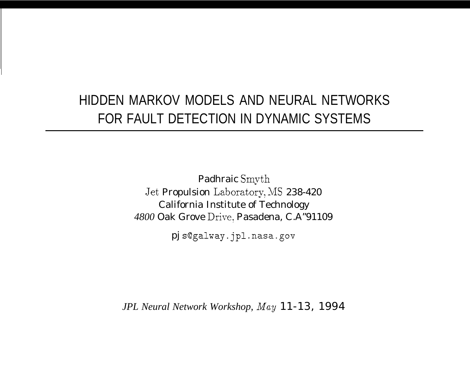# HIDDEN MARKOV MODELS AND NEURAL NETWORKS FOR FAULT DETECTION IN DYNAMIC SYSTEMS

Padhraic Smvth Jet Propulsion Laboratory, MS 238-420 California Institute of Technology *4800* Oak Grove Drive, Pasadena, C.A"91109

pj s@galway.jpl.nasa.gov

*JPL Neural Network Workshop, May* 11-13, 1994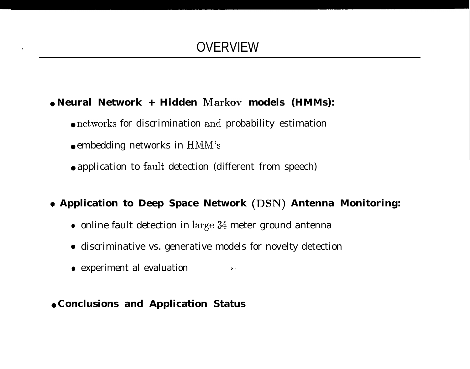- **Neural Network + Hidden Markov models (HMMs):**
	- **networks** for discrimination and probability estimation
	- embedding networks in HMM's
	- application to fault detection (different from speech)
- <sup>Q</sup> **Application to Deep Space Network (DSN) Antenna Monitoring:**
	- $\bullet\,$  online fault detection in l $\arg$ e  $34$  meter ground antenna
	- **c** discriminative vs. generative models for novelty detection
	- experiment al evaluation  $\qquad \qquad \cdot \qquad$
- **Conclusions and Application Status**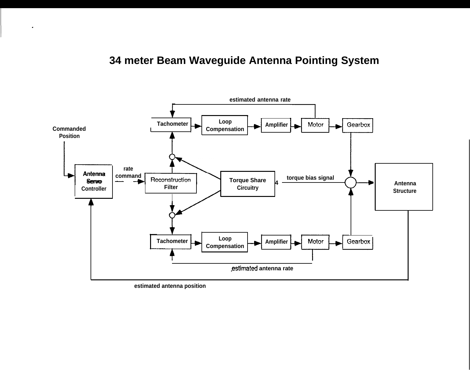## **34 meter Beam Waveguide Antenna Pointing System**



**estimated antenna position**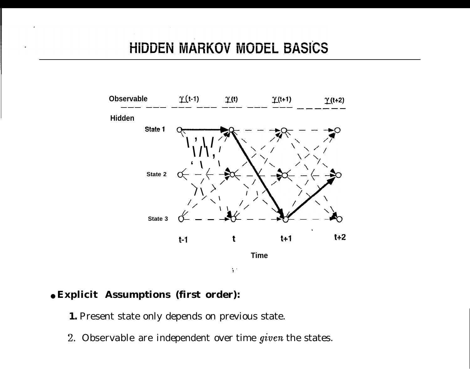## **HIDDEN MARKOV MODEL BASICS**



#### ● **Explicit Assumptions (first order):**

**1**

**1.** Present state only depends on previous state.

2. Observable are independent over time given the states.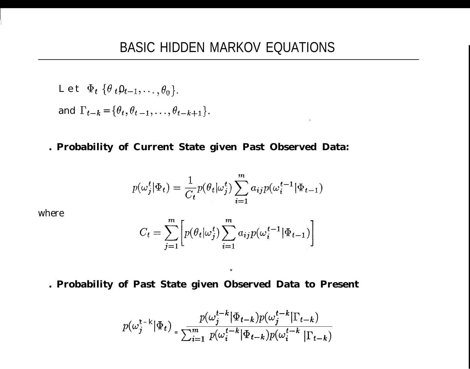$$
\text{L et } \Phi_t \{ \theta_t \mathbf{0}_{t-1}, \dots, \theta_0 \}.
$$
\n
$$
\text{and } \Gamma_{t-k} = \{ \theta_t, \theta_{t-1}, \dots, \theta_{t-k+1} \}.
$$

. Probability of Current State given Past Observed Data:

$$
p(\omega_j^t | \Phi_t) = \frac{1}{C_t} p(\theta_t | \omega_j^t) \sum_{i=1}^m a_{ij} p(\omega_i^{t-1} | \Phi_{t-1})
$$

 $\bullet$ 

where

$$
C_t = \sum_{j=1}^m \left[ p(\theta_t | \omega_j^t) \sum_{i=1}^m a_{ij} p(\omega_i^{t-1} | \Phi_{t-1}) \right]
$$

 $\mathbf{v}$ 

. Probability of Past State given Observed Data to Present

$$
p(\omega_j^{t-k}|\Phi_t) = \frac{p(\omega_j^{t-k}|\Phi_{t-k})p(\omega_j^{t-k}|\Gamma_{t-k})}{\sum_{i=1}^m p(\omega_i^{t-k}|\Phi_{t-k})p(\omega_i^{t-k}|\Gamma_{t-k})}
$$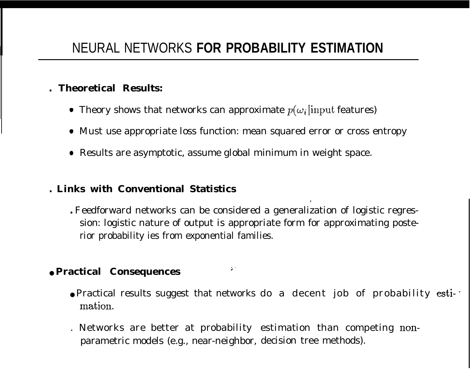#### **. Theoretical Results:**

- Theory shows that networks can approximate  $p(\omega_i)$  input features)
- Must use appropriate loss function: mean squared error or cross entropy
- Results are asymptotic, assume global minimum in weight space.

#### **. Links with Conventional Statistics**

**.** Feedforward networks can be considered a generalization of logistic regression: logistic nature of output is appropriate form for approximating posterior probability ies from exponential families.

., .

### ● **Practical Consequences**

● Practical results suggest that networks do a decent job of probability esti- mation.

**.**

. Networks are better at probability estimation than competing nonparametric models (e.g., near-neighbor, decision tree methods).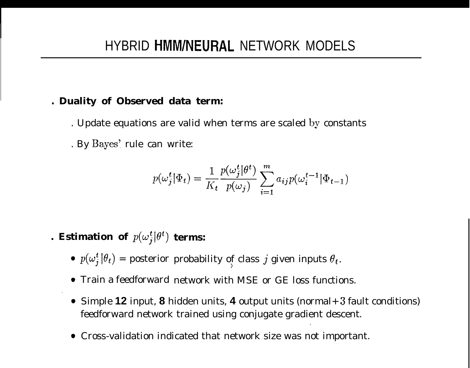#### **. Duality of Observed data term:**

. Update equations are valid when terms are scaled by constants . By Bayes'. rule can write:

$$
p(\boldsymbol{\omega}_j^t|\boldsymbol{\Phi}_t) = \frac{1}{K_t} \frac{p(\boldsymbol{\omega}_j^t|\boldsymbol{\theta}^t)}{p(\boldsymbol{\omega}_j)} \sum_{i=1}^m a_{ij} p(\boldsymbol{\omega}_i^{t-1}|\boldsymbol{\Phi}_{t-1})
$$

. Estimation of  $p(\omega^{t}_i|\theta^{t})$  terms:

- $p(\omega_j^t|\theta_t)$  = posterior probability of class  $j$  given inputs  $\theta_t.$
- Train a feedforward network with MSE or GE loss functions.
- Simple **12** input, **8** hidden units, **4** output units (normal+ 3 fault conditions) feedforward network trained using conjugate gradient descent.

.

 $\prime$ 

Cross-validation indicated that network size was not important.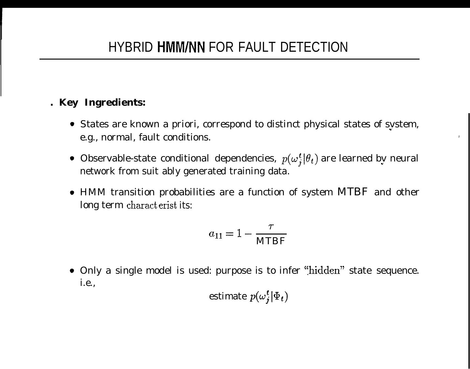#### **. Key Ingredients:**

States are known a priori, correspond to distinct physical states of svstem, u e.g., normal, fault conditions.

,

- Observable-state conditional dependencies,  $p(\omega_j^t | \theta_t)$  are learned by neural network from suit ably generated training data.
- HMM transition probabilities are a function of system MTBF and other long term charact erist its:

$$
a_{11}=1-\frac{\tau}{\text{MTBF}}
$$

• Only a single model is used: purpose is to infer "hidden" state sequence. i.e.,

estimate 
$$
p(\omega_j^t | \Phi_t)
$$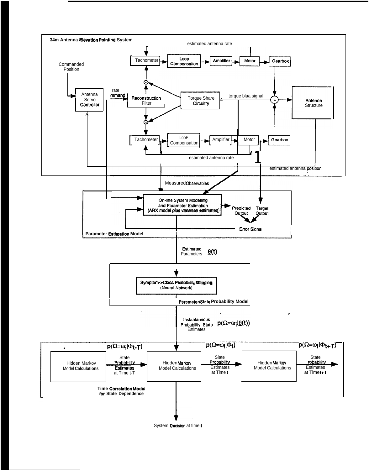

System Decision at time I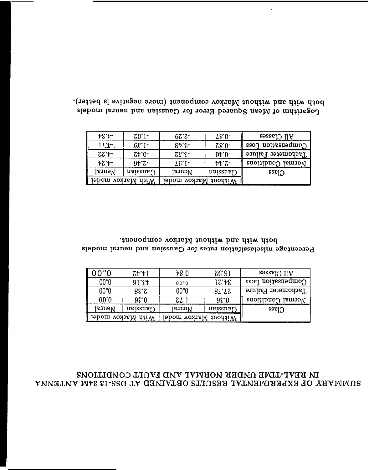#### IN BEAL-TIME UNDER NORMAL AND FAULT CONDITIONS SUMMARY OF EXPERIMENTAL RESULTS OBTAINED AT DSS-13 34M ANDEINAL

| 00"0              | (7, 7)            | 48.0                 | 76.91     | All Classes               |
|-------------------|-------------------|----------------------|-----------|---------------------------|
| 00"0              | 91.64             | 00"0                 | 17.4E     | $\gamma$ ombenastion ross |
| 00"0              | 85.38             | 00"0                 | $8L^2L^2$ | Tachometer Failure        |
| 00.0              | 0.36              | $ZL$ i               | 38.0      | Normal Conditions         |
| IsurəV            | $u$ eissne $\eta$ | Neural               | ueissner  | sse <sub>1</sub>          |
| With Markov model |                   | Without Markov model |           |                           |

both with and without Markov component. Percentage misclassifation rates for Gaussian and neural models

| $E^*$             | $20.1 -$          | $67.5 -$             | $78.0 -$               | $\lambda$ ll Classes    |
|-------------------|-------------------|----------------------|------------------------|-------------------------|
| $1/\mathbf{E}$ .  | $68.1 -$          | 84.6                 | $28.0 -$               | $\cos$ noiseas for loss |
| $75.4-$           | $24.0 -$          | 23.52                | $0+0-$                 | Tachometer Failure      |
| $\frac{1}{2}$     | $95.5 -$          | $\text{\it LC}$ .    | $\bar{\nu}\bar{\nu}$ . | Normal Conditions       |
| laural            | $u$ eissne $\eta$ | laural               | $u$ eissne $\eta$      | $C$ lass                |
| With Markov model |                   | Without Markov model |                        |                         |

both with and without Markov component (more negative is better). Logarithm of Mean Squared Error for Gaussian and neural models

 $\hat{\textbf{v}}$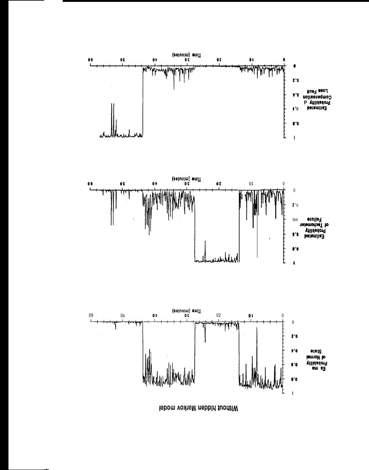

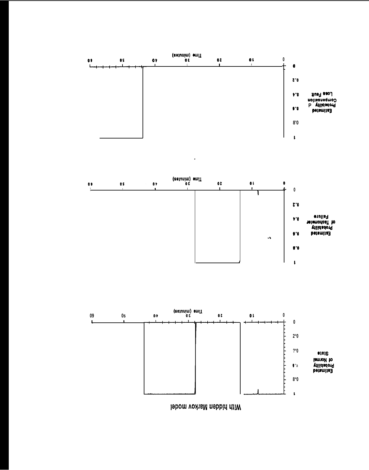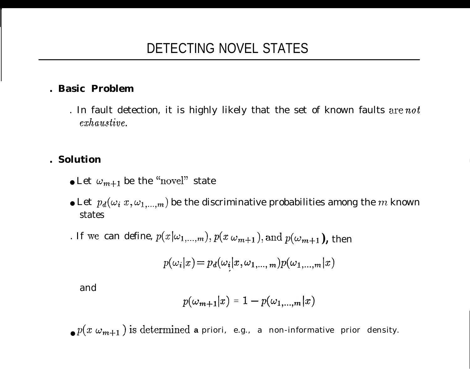### **. Basic Problem**

. In fault detection, it is highly likely that the set of known faults are  $not$  $exhaustive.$ 

#### **. Solution**

- Let  $\omega_{m+1}$  be the "novel" state
- $\bullet$  Let  $~p_{d}(\omega_{i}~x,\omega_{1,...,m})$  be the discriminative probabilities among the  $m$  known states
- . If we can define,  $p(x|\omega_{1,...,m}), p(x|\omega_{m+1}), \text{and } p(\omega_{m+1}),$  then

$$
p(\omega_i|x) = p_d(\omega_i|x, \omega_{1,\dots,m})p(\omega_{1,\dots,m}|x)
$$

and

$$
p(\omega_{m+1}|x) = 1 - p(\omega_{1,\ldots,m}|x)
$$

 $\bullet$  *P*(*x*  $\omega_{m+1}$ ) is determined **a** priori, e.g., a non-informative prior density.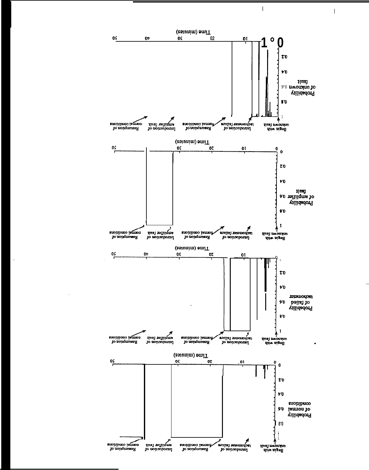

 $\overline{1}$